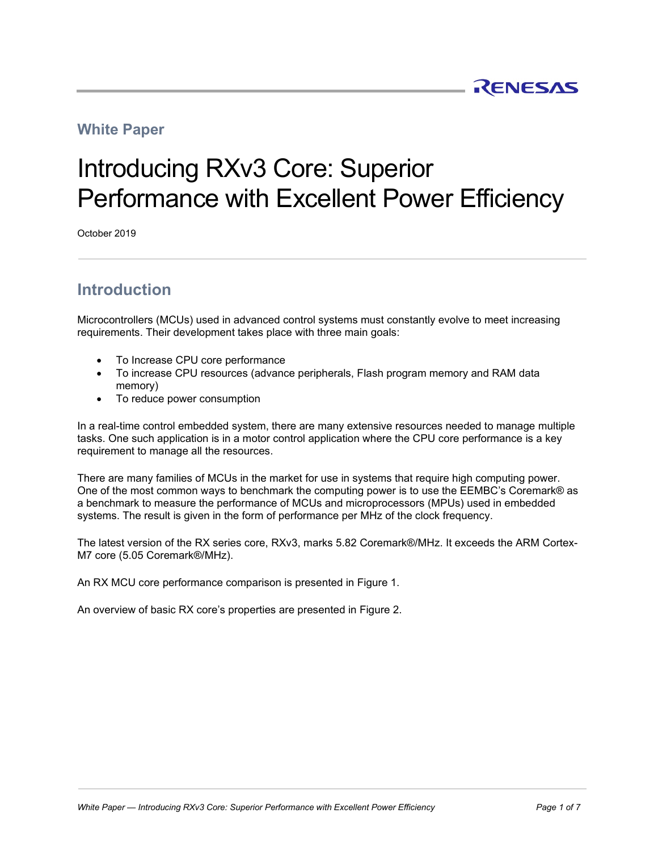#### **White Paper**

# Introducing RXv3 Core: Superior Performance with Excellent Power Efficiency

October 2019

## **Introduction**

Microcontrollers (MCUs) used in advanced control systems must constantly evolve to meet increasing requirements. Their development takes place with three main goals:

- To Increase CPU core performance
- To increase CPU resources (advance peripherals, Flash program memory and RAM data memory)
- To reduce power consumption

In a real-time control embedded system, there are many extensive resources needed to manage multiple tasks. One such application is in a motor control application where the CPU core performance is a key requirement to manage all the resources.

There are many families of MCUs in the market for use in systems that require high computing power. One of the most common ways to benchmark the computing power is to use the EEMBC's Coremark® as a benchmark to measure the performance of MCUs and microprocessors (MPUs) used in embedded systems. The result is given in the form of performance per MHz of the clock frequency.

The latest version of the RX series core, RXv3, marks 5.82 Coremark®/MHz. It exceeds the ARM Cortex-M7 core (5.05 Coremark®/MHz).

An RX MCU core performance comparison is presented in Figure 1.

An overview of basic RX core's properties are presented in Figure 2.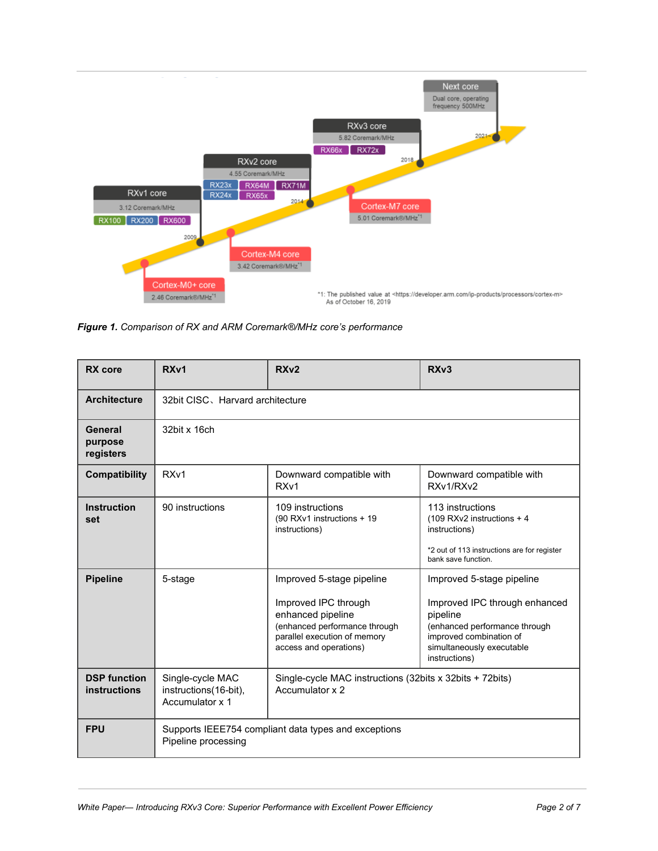

*Figure 1. Comparison of RX and ARM Coremark®/MHz core's performance*

| <b>RX</b> core                             | RXv1                                                                        | RX <sub>v2</sub>                                                                                                                                                  | RX <sub>v3</sub>                                                                                                                                                                 |  |  |  |  |  |
|--------------------------------------------|-----------------------------------------------------------------------------|-------------------------------------------------------------------------------------------------------------------------------------------------------------------|----------------------------------------------------------------------------------------------------------------------------------------------------------------------------------|--|--|--|--|--|
| <b>Architecture</b>                        | 32bit CISC, Harvard architecture                                            |                                                                                                                                                                   |                                                                                                                                                                                  |  |  |  |  |  |
| General<br>purpose<br>registers            | 32bit x 16ch                                                                |                                                                                                                                                                   |                                                                                                                                                                                  |  |  |  |  |  |
| Compatibility                              | RX <sub>v1</sub>                                                            | Downward compatible with<br>RX <sub>v1</sub>                                                                                                                      | Downward compatible with<br>RXv1/RXv2                                                                                                                                            |  |  |  |  |  |
| <b>Instruction</b><br>set                  | 90 instructions                                                             | 109 instructions<br>(90 RXv1 instructions + 19<br>instructions)                                                                                                   | 113 instructions<br>(109 RXv2 instructions + 4<br>instructions)<br>*2 out of 113 instructions are for register<br>bank save function.                                            |  |  |  |  |  |
| <b>Pipeline</b>                            | 5-stage                                                                     | Improved 5-stage pipeline<br>Improved IPC through<br>enhanced pipeline<br>(enhanced performance through<br>parallel execution of memory<br>access and operations) | Improved 5-stage pipeline<br>Improved IPC through enhanced<br>pipeline<br>(enhanced performance through<br>improved combination of<br>simultaneously executable<br>instructions) |  |  |  |  |  |
| <b>DSP function</b><br><b>instructions</b> | Single-cycle MAC<br>instructions(16-bit),<br>Accumulator x 1                | Single-cycle MAC instructions (32bits x 32bits + 72bits)<br>Accumulator x 2                                                                                       |                                                                                                                                                                                  |  |  |  |  |  |
| <b>FPU</b>                                 | Supports IEEE754 compliant data types and exceptions<br>Pipeline processing |                                                                                                                                                                   |                                                                                                                                                                                  |  |  |  |  |  |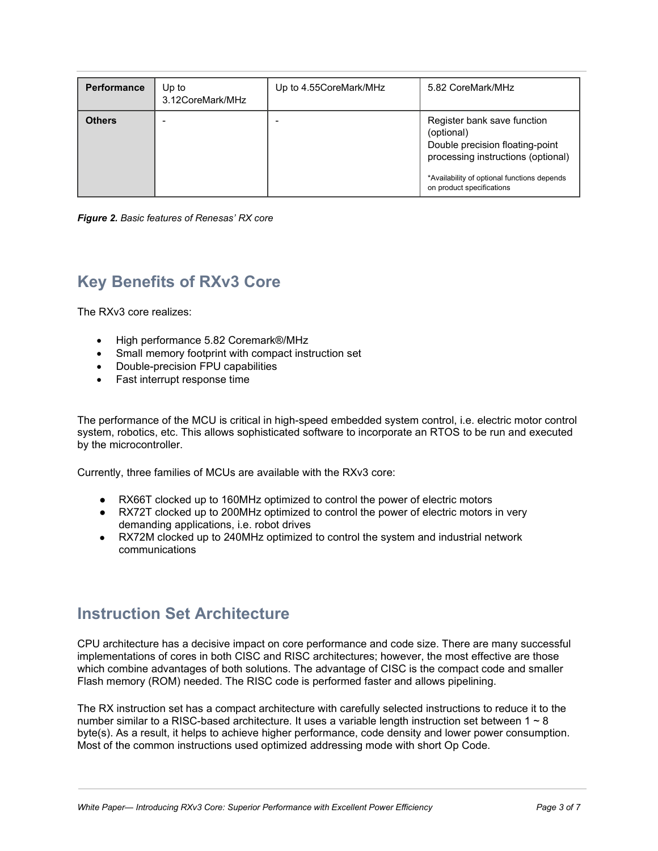| <b>Performance</b> | Up to<br>3.12CoreMark/MHz | Up to 4.55CoreMark/MHz | 5.82 CoreMark/MHz                                                                                                  |
|--------------------|---------------------------|------------------------|--------------------------------------------------------------------------------------------------------------------|
| <b>Others</b>      |                           |                        | Register bank save function<br>(optional)<br>Double precision floating-point<br>processing instructions (optional) |
|                    |                           |                        | *Availability of optional functions depends<br>on product specifications                                           |

*Figure 2. Basic features of Renesas' RX core*

### **Key Benefits of RXv3 Core**

The RXv3 core realizes:

- High performance 5.82 Coremark®/MHz
- Small memory footprint with compact instruction set
- Double-precision FPU capabilities
- Fast interrupt response time

The performance of the MCU is critical in high-speed embedded system control, i.e. electric motor control system, robotics, etc. This allows sophisticated software to incorporate an RTOS to be run and executed by the microcontroller.

Currently, three families of MCUs are available with the RXv3 core:

- RX66T clocked up to 160MHz optimized to control the power of electric motors
- RX72T clocked up to 200MHz optimized to control the power of electric motors in very demanding applications, i.e. robot drives
- RX72M clocked up to 240MHz optimized to control the system and industrial network communications

#### **Instruction Set Architecture**

CPU architecture has a decisive impact on core performance and code size. There are many successful implementations of cores in both CISC and RISC architectures; however, the most effective are those which combine advantages of both solutions. The advantage of CISC is the compact code and smaller Flash memory (ROM) needed. The RISC code is performed faster and allows pipelining.

The RX instruction set has a compact architecture with carefully selected instructions to reduce it to the number similar to a RISC-based architecture. It uses a variable length instruction set between  $1 \sim 8$ byte(s). As a result, it helps to achieve higher performance, code density and lower power consumption. Most of the common instructions used optimized addressing mode with short Op Code.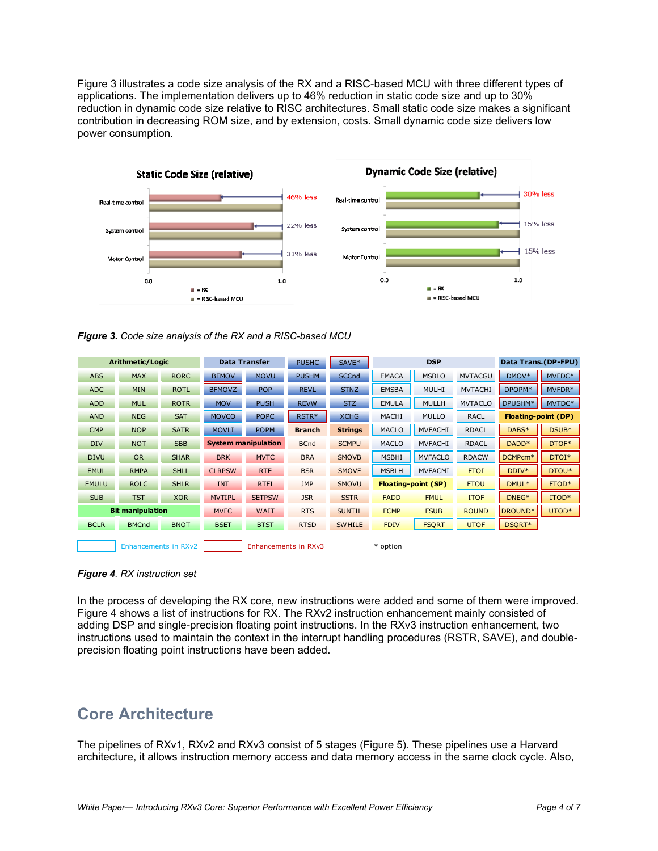Figure 3 illustrates a code size analysis of the RX and a RISC-based MCU with three different types of applications. The implementation delivers up to 46% reduction in static code size and up to 30% reduction in dynamic code size relative to RISC architectures. Small static code size makes a significant contribution in decreasing ROM size, and by extension, costs. Small dynamic code size delivers low power consumption.





| Arithmetic/Logic        |              | <b>Data Transfer</b> |                            | <b>PUSHC</b>  | SAVE*         | <b>DSP</b>     |              | Data Trans.(DP-FPU) |                     |                            |        |
|-------------------------|--------------|----------------------|----------------------------|---------------|---------------|----------------|--------------|---------------------|---------------------|----------------------------|--------|
| <b>ABS</b>              | <b>MAX</b>   | <b>RORC</b>          | <b>BFMOV</b>               | <b>MOVU</b>   | <b>PUSHM</b>  | <b>SCCnd</b>   | <b>EMACA</b> | <b>MSBLO</b>        | <b>MVTACGU</b>      | DMOV*                      | MVFDC* |
| <b>ADC</b>              | <b>MIN</b>   | <b>ROTL</b>          | <b>BFMOVZ</b>              | <b>POP</b>    | <b>REVL</b>   | <b>STNZ</b>    | <b>EMSBA</b> | <b>MULHI</b>        | <b>MVTACHI</b>      | DPOPM*                     | MVFDR* |
| <b>ADD</b>              | <b>MUL</b>   | <b>ROTR</b>          | <b>MOV</b>                 | <b>PUSH</b>   | <b>REVW</b>   | <b>STZ</b>     | <b>EMULA</b> | <b>MULLH</b>        | <b>MVTACLO</b>      | DPUSHM*                    | MVTDC* |
| <b>AND</b>              | <b>NEG</b>   | <b>SAT</b>           | <b>MOVCO</b>               | <b>POPC</b>   | RSTR*         | <b>XCHG</b>    | <b>MACHI</b> | <b>MULLO</b>        | <b>RACL</b>         | <b>Floating-point (DP)</b> |        |
| <b>CMP</b>              | <b>NOP</b>   | <b>SATR</b>          | <b>MOVLI</b>               | <b>POPM</b>   | <b>Branch</b> | <b>Strings</b> | <b>MACLO</b> | <b>MVFACHI</b>      | <b>RDACL</b>        | DABS*                      | DSUB*  |
| <b>DIV</b>              | <b>NOT</b>   | <b>SBB</b>           | <b>System manipulation</b> |               | <b>BCnd</b>   | <b>SCMPU</b>   | <b>MACLO</b> | <b>MVFACHI</b>      | <b>RDACL</b>        | DADD <sup>*</sup>          | DTOF*  |
| <b>DIVU</b>             | <b>OR</b>    | <b>SHAR</b>          | <b>BRK</b>                 | <b>MVTC</b>   | <b>BRA</b>    | <b>SMOVB</b>   | <b>MSBHI</b> | <b>MVFACLO</b>      | <b>RDACW</b>        | DCMPcm <sup>*</sup>        | DTOI*  |
| <b>EMUL</b>             | <b>RMPA</b>  | <b>SHLL</b>          | <b>CLRPSW</b>              | <b>RTE</b>    | <b>BSR</b>    | <b>SMOVF</b>   | <b>MSBLH</b> | <b>MVFACMI</b>      | <b>FTOI</b>         | DDIV*                      | DTOU*  |
| <b>EMULU</b>            | <b>ROLC</b>  | <b>SHLR</b>          | <b>INT</b>                 | <b>RTFI</b>   | <b>JMP</b>    | <b>SMOVU</b>   |              | Floating-point (SP) | <b>FTOU</b>         | DMUL*                      | FTOD*  |
| <b>SUB</b>              | <b>TST</b>   | <b>XOR</b>           | <b>MVTIPL</b>              | <b>SETPSW</b> | <b>JSR</b>    | <b>SSTR</b>    | <b>FADD</b>  | <b>FMUL</b>         | <b>ITOF</b>         | DNEG <sup>*</sup>          | ITOD*  |
| <b>Bit manipulation</b> |              | <b>MVFC</b>          | <b>WAIT</b>                | <b>RTS</b>    | <b>SUNTIL</b> | <b>FCMP</b>    | <b>FSUB</b>  | <b>ROUND</b>        | DROUND <sup>*</sup> | UTOD*                      |        |
| <b>BCLR</b>             | <b>BMCnd</b> | <b>BNOT</b>          | <b>BSET</b>                | <b>BTST</b>   | <b>RTSD</b>   | <b>SWHILE</b>  | <b>FDIV</b>  | <b>FSQRT</b>        | <b>UTOF</b>         | DSQRT*                     |        |
| Enhancements in RXv2    |              |                      | Enhancements in RXv3       |               |               | * option       |              |                     |                     |                            |        |



In the process of developing the RX core, new instructions were added and some of them were improved. Figure 4 shows a list of instructions for RX. The RXv2 instruction enhancement mainly consisted of adding DSP and single-precision floating point instructions. In the RXv3 instruction enhancement, two instructions used to maintain the context in the interrupt handling procedures (RSTR, SAVE), and doubleprecision floating point instructions have been added.

## **Core Architecture**

The pipelines of RXv1, RXv2 and RXv3 consist of 5 stages (Figure 5). These pipelines use a Harvard architecture, it allows instruction memory access and data memory access in the same clock cycle. Also,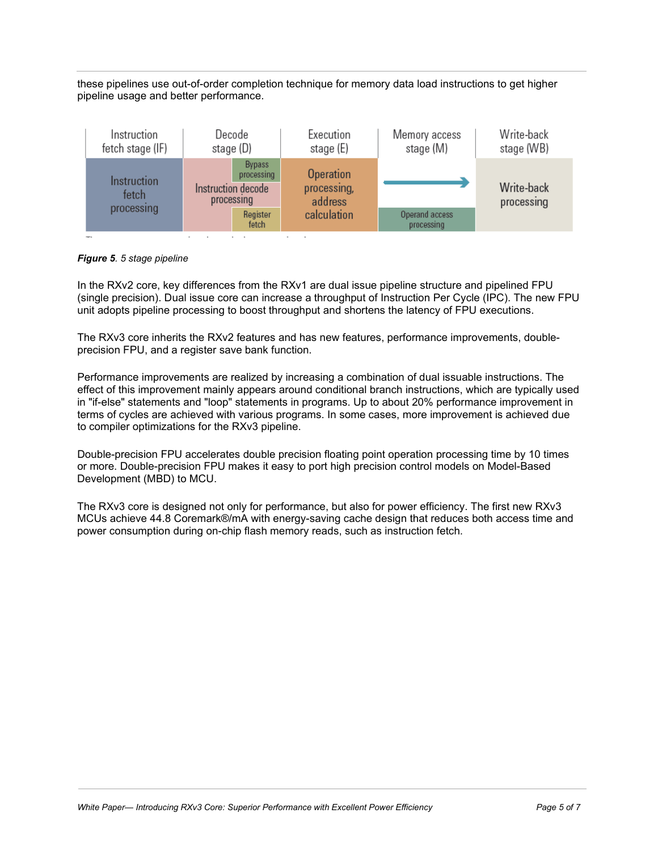these pipelines use out-of-order completion technique for memory data load instructions to get higher pipeline usage and better performance.



*Figure 5. 5 stage pipeline*

In the RXv2 core, key differences from the RXv1 are dual issue pipeline structure and pipelined FPU (single precision). Dual issue core can increase a throughput of Instruction Per Cycle (IPC). The new FPU unit adopts pipeline processing to boost throughput and shortens the latency of FPU executions.

The RXv3 core inherits the RXv2 features and has new features, performance improvements, doubleprecision FPU, and a register save bank function.

Performance improvements are realized by increasing a combination of dual issuable instructions. The effect of this improvement mainly appears around conditional branch instructions, which are typically used in "if-else" statements and "loop" statements in programs. Up to about 20% performance improvement in terms of cycles are achieved with various programs. In some cases, more improvement is achieved due to compiler optimizations for the RXv3 pipeline.

Double-precision FPU accelerates double precision floating point operation processing time by 10 times or more. Double-precision FPU makes it easy to port high precision control models on Model-Based Development (MBD) to MCU.

The RXv3 core is designed not only for performance, but also for power efficiency. The first new RXv3 MCUs achieve 44.8 Coremark®/mA with energy-saving cache design that reduces both access time and power consumption during on-chip flash memory reads, such as instruction fetch.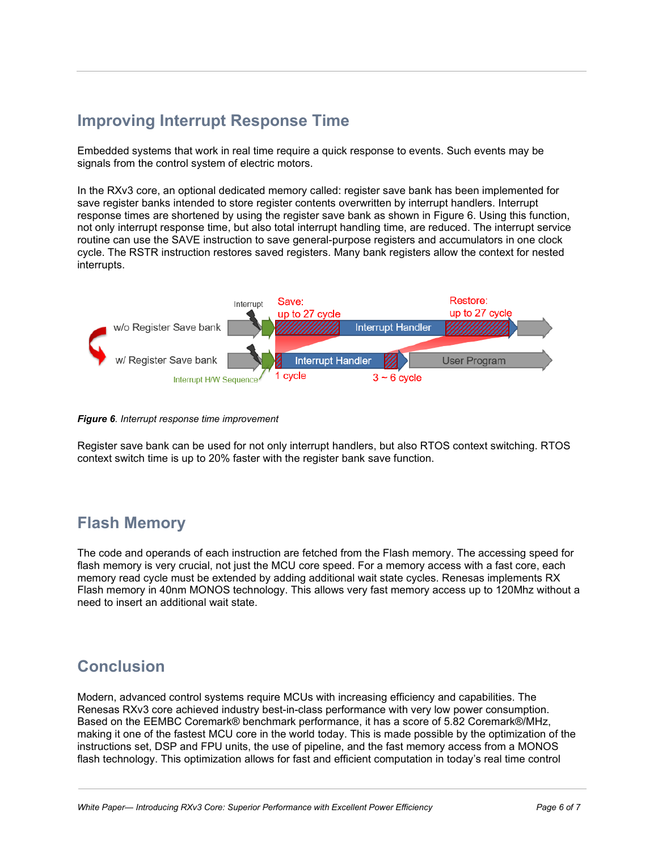# **Improving Interrupt Response Time**

Embedded systems that work in real time require a quick response to events. Such events may be signals from the control system of electric motors.

In the RXv3 core, an optional dedicated memory called: register save bank has been implemented for save register banks intended to store register contents overwritten by interrupt handlers. Interrupt response times are shortened by using the register save bank as shown in Figure 6. Using this function, not only interrupt response time, but also total interrupt handling time, are reduced. The interrupt service routine can use the SAVE instruction to save general-purpose registers and accumulators in one clock cycle. The RSTR instruction restores saved registers. Many bank registers allow the context for nested interrupts.



*Figure 6. Interrupt response time improvement*

Register save bank can be used for not only interrupt handlers, but also RTOS context switching. RTOS context switch time is up to 20% faster with the register bank save function.

#### **Flash Memory**

The code and operands of each instruction are fetched from the Flash memory. The accessing speed for flash memory is very crucial, not just the MCU core speed. For a memory access with a fast core, each memory read cycle must be extended by adding additional wait state cycles. Renesas implements RX Flash memory in 40nm MONOS technology. This allows very fast memory access up to 120Mhz without a need to insert an additional wait state.

#### **Conclusion**

Modern, advanced control systems require MCUs with increasing efficiency and capabilities. The Renesas RXv3 core achieved industry best-in-class performance with very low power consumption. Based on the EEMBC Coremark® benchmark performance, it has a score of 5.82 Coremark®/MHz, making it one of the fastest MCU core in the world today. This is made possible by the optimization of the instructions set, DSP and FPU units, the use of pipeline, and the fast memory access from a MONOS flash technology. This optimization allows for fast and efficient computation in today's real time control